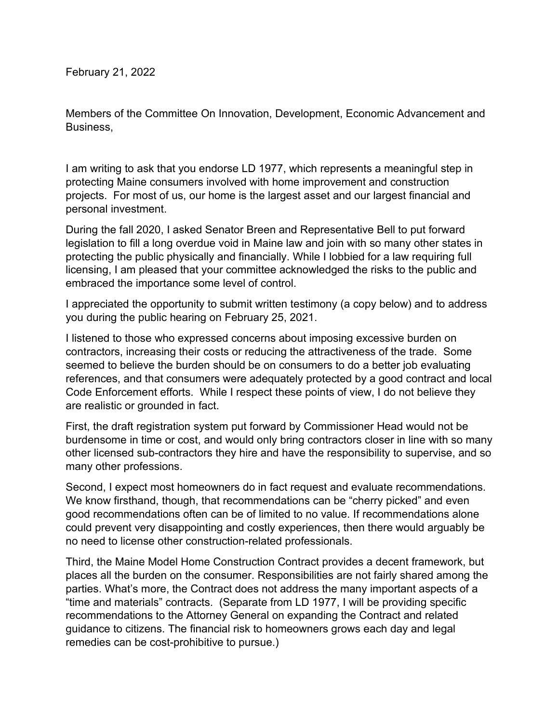February 21, 2022

Members of the Committee On Innovation, Development, Economic Advancement and Business,

I am writing to ask that you endorse LD 1977, which represents a meaningful step in protecting Maine consumers involved with home improvement and construction projects. For most of us, our home is the largest asset and our largest financial and personal investment.

During the fall 2020, I asked Senator Breen and Representative Bell to put forward legislation to fill a long overdue void in Maine law and join with so many other states in protecting the public physically and financially. While I lobbied for a law requiring full licensing, I am pleased that your committee acknowledged the risks to the public and embraced the importance some level of control.

I appreciated the opportunity to submit written testimony (a copy below) and to address you during the public hearing on February 25, 2021.

I listened to those who expressed concerns about imposing excessive burden on contractors, increasing their costs or reducing the attractiveness of the trade. Some seemed to believe the burden should be on consumers to do a better job evaluating references, and that consumers were adequately protected by a good contract and local Code Enforcement efforts. While I respect these points of view, I do not believe they are realistic or grounded in fact.

First, the draft registration system put forward by Commissioner Head would not be burdensome in time or cost, and would only bring contractors closer in line with so many other licensed sub-contractors they hire and have the responsibility to supervise, and so many other professions.

Second, I expect most homeowners do in fact request and evaluate recommendations. We know firsthand, though, that recommendations can be "cherry picked" and even good recommendations often can be of limited to no value. If recommendations alone could prevent very disappointing and costly experiences, then there would arguably be no need to license other construction-related professionals.

Third, the Maine Model Home Construction Contract provides a decent framework, but places all the burden on the consumer. Responsibilities are not fairly shared among the parties. What's more, the Contract does not address the many important aspects of a "time and materials" contracts. (Separate from LD 1977, I will be providing specific recommendations to the Attorney General on expanding the Contract and related guidance to citizens. The financial risk to homeowners grows each day and legal remedies can be cost-prohibitive to pursue.)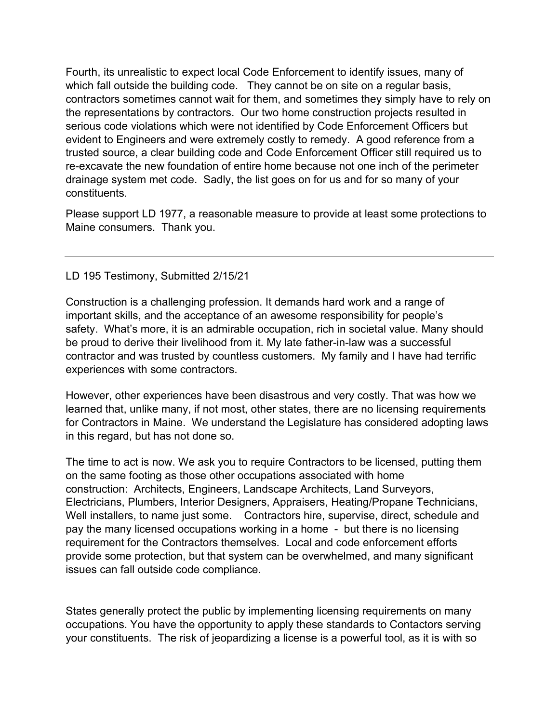Fourth, its unrealistic to expect local Code Enforcement to identify issues, many of which fall outside the building code. They cannot be on site on a regular basis, contractors sometimes cannot wait for them, and sometimes they simply have to rely on the representations by contractors. Our two home construction projects resulted in serious code violations which were not identified by Code Enforcement Officers but evident to Engineers and were extremely costly to remedy. A good reference from a trusted source, a clear building code and Code Enforcement Officer still required us to re-excavate the new foundation of entire home because not one inch of the perimeter drainage system met code. Sadly, the list goes on for us and for so many of your constituents.

Please support LD 1977, a reasonable measure to provide at least some protections to Maine consumers. Thank you.

## LD 195 Testimony, Submitted 2/15/21

Construction is a challenging profession. It demands hard work and a range of important skills, and the acceptance of an awesome responsibility for people's safety. What's more, it is an admirable occupation, rich in societal value. Many should be proud to derive their livelihood from it. My late father-in-law was a successful contractor and was trusted by countless customers. My family and I have had terrific experiences with some contractors.

However, other experiences have been disastrous and very costly. That was how we learned that, unlike many, if not most, other states, there are no licensing requirements for Contractors in Maine. We understand the Legislature has considered adopting laws in this regard, but has not done so.

The time to act is now. We ask you to require Contractors to be licensed, putting them on the same footing as those other occupations associated with home construction: Architects, Engineers, Landscape Architects, Land Surveyors, Electricians, Plumbers, Interior Designers, Appraisers, Heating/Propane Technicians, Well installers, to name just some. Contractors hire, supervise, direct, schedule and pay the many licensed occupations working in a home - but there is no licensing requirement for the Contractors themselves. Local and code enforcement efforts provide some protection, but that system can be overwhelmed, and many significant issues can fall outside code compliance.

States generally protect the public by implementing licensing requirements on many occupations. You have the opportunity to apply these standards to Contactors serving your constituents. The risk of jeopardizing a license is a powerful tool, as it is with so